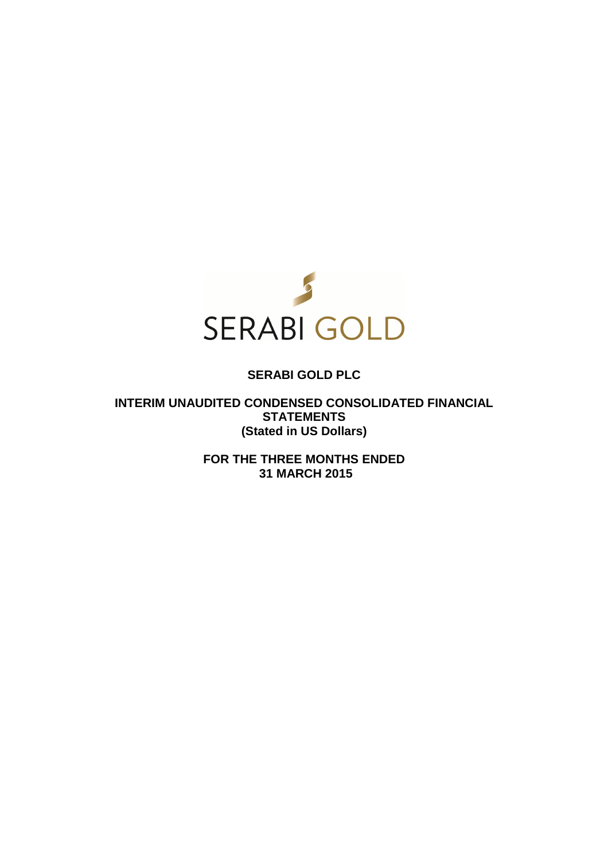

# **SERABI GOLD PLC**

**INTERIM UNAUDITED CONDENSED CONSOLIDATED FINANCIAL STATEMENTS (Stated in US Dollars)** 

> **FOR THE THREE MONTHS ENDED 31 MARCH 2015**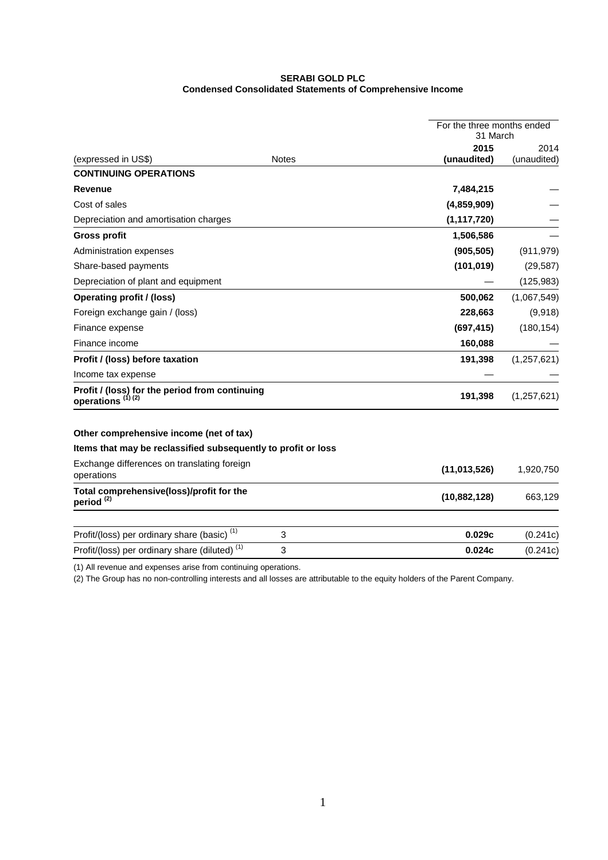# **SERABI GOLD PLC Condensed Consolidated Statements of Comprehensive Income**

|                                                                          | For the three months ended<br>31 March |               |               |
|--------------------------------------------------------------------------|----------------------------------------|---------------|---------------|
|                                                                          |                                        | 2015          | 2014          |
| (expressed in US\$)                                                      | <b>Notes</b>                           | (unaudited)   | (unaudited)   |
| <b>CONTINUING OPERATIONS</b>                                             |                                        |               |               |
| Revenue                                                                  |                                        | 7,484,215     |               |
| Cost of sales                                                            |                                        | (4,859,909)   |               |
| Depreciation and amortisation charges                                    |                                        | (1, 117, 720) |               |
| <b>Gross profit</b>                                                      |                                        | 1,506,586     |               |
| Administration expenses                                                  |                                        | (905, 505)    | (911, 979)    |
| Share-based payments                                                     |                                        | (101, 019)    | (29, 587)     |
| Depreciation of plant and equipment                                      |                                        |               | (125, 983)    |
| <b>Operating profit / (loss)</b>                                         |                                        | 500,062       | (1,067,549)   |
| Foreign exchange gain / (loss)                                           |                                        | 228,663       | (9,918)       |
| Finance expense                                                          |                                        | (697, 415)    | (180, 154)    |
| Finance income                                                           |                                        | 160,088       |               |
| Profit / (loss) before taxation                                          |                                        | 191,398       | (1, 257, 621) |
| Income tax expense                                                       |                                        |               |               |
| Profit / (loss) for the period from continuing<br>operations $^{(1)(2)}$ |                                        | 191,398       | (1,257,621)   |
| Other comprehensive income (net of tax)                                  |                                        |               |               |
| Items that may be reclassified subsequently to profit or loss            |                                        |               |               |
| Exchange differences on translating foreign<br>operations                |                                        | (11,013,526)  | 1,920,750     |
| Total comprehensive(loss)/profit for the<br>period <sup>(2)</sup>        |                                        | (10,882,128)  | 663,129       |
| Profit/(loss) per ordinary share (basic) <sup>(1)</sup>                  | 3                                      | 0.029c        | (0.241c)      |
| Profit/(loss) per ordinary share (diluted) <sup>(1)</sup>                | 3                                      | 0.024c        | (0.241c)      |
|                                                                          |                                        |               |               |

(1) All revenue and expenses arise from continuing operations.

(2) The Group has no non-controlling interests and all losses are attributable to the equity holders of the Parent Company.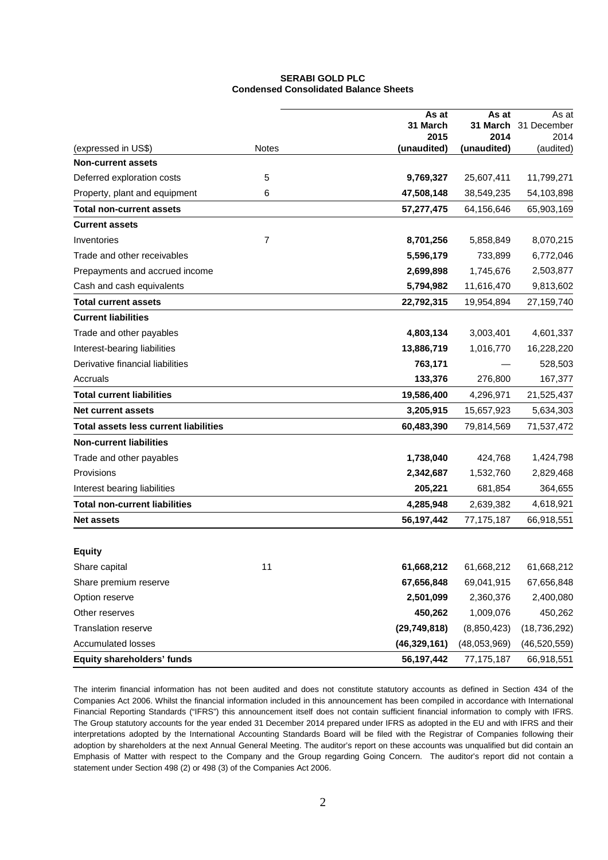### **SERABI GOLD PLC Condensed Consolidated Balance Sheets**

|                                              |              | As at            | As at            | As at               |
|----------------------------------------------|--------------|------------------|------------------|---------------------|
|                                              |              | 31 March<br>2015 | 31 March<br>2014 | 31 December<br>2014 |
| (expressed in US\$)                          | <b>Notes</b> | (unaudited)      | (unaudited)      | (audited)           |
| <b>Non-current assets</b>                    |              |                  |                  |                     |
| Deferred exploration costs                   | 5            | 9,769,327        | 25,607,411       | 11,799,271          |
| Property, plant and equipment                | 6            | 47,508,148       | 38,549,235       | 54,103,898          |
| <b>Total non-current assets</b>              |              | 57,277,475       | 64,156,646       | 65,903,169          |
| <b>Current assets</b>                        |              |                  |                  |                     |
| Inventories                                  | 7            | 8,701,256        | 5,858,849        | 8,070,215           |
| Trade and other receivables                  |              | 5,596,179        | 733,899          | 6,772,046           |
| Prepayments and accrued income               |              | 2,699,898        | 1,745,676        | 2,503,877           |
| Cash and cash equivalents                    |              | 5,794,982        | 11,616,470       | 9,813,602           |
| <b>Total current assets</b>                  |              | 22,792,315       | 19,954,894       | 27,159,740          |
| <b>Current liabilities</b>                   |              |                  |                  |                     |
| Trade and other payables                     |              | 4,803,134        | 3,003,401        | 4,601,337           |
| Interest-bearing liabilities                 |              | 13,886,719       | 1,016,770        | 16,228,220          |
| Derivative financial liabilities             |              | 763,171          |                  | 528,503             |
| Accruals                                     |              | 133,376          | 276,800          | 167,377             |
| <b>Total current liabilities</b>             |              | 19,586,400       | 4,296,971        | 21,525,437          |
| <b>Net current assets</b>                    |              | 3,205,915        | 15,657,923       | 5,634,303           |
| <b>Total assets less current liabilities</b> |              | 60,483,390       | 79,814,569       | 71,537,472          |
| <b>Non-current liabilities</b>               |              |                  |                  |                     |
| Trade and other payables                     |              | 1,738,040        | 424,768          | 1,424,798           |
| Provisions                                   |              | 2,342,687        | 1,532,760        | 2,829,468           |
| Interest bearing liabilities                 |              | 205,221          | 681,854          | 364,655             |
| <b>Total non-current liabilities</b>         |              | 4,285,948        | 2,639,382        | 4,618,921           |
| <b>Net assets</b>                            |              | 56,197,442       | 77,175,187       | 66,918,551          |
|                                              |              |                  |                  |                     |
| <b>Equity</b>                                |              |                  |                  |                     |
| Share capital                                | 11           | 61,668,212       | 61,668,212       | 61,668,212          |
| Share premium reserve                        |              | 67,656,848       | 69,041,915       | 67,656,848          |
| Option reserve                               |              | 2,501,099        | 2,360,376        | 2,400,080           |
| Other reserves                               |              | 450,262          | 1,009,076        | 450,262             |
| Translation reserve                          |              | (29, 749, 818)   | (8,850,423)      | (18, 736, 292)      |
| <b>Accumulated losses</b>                    |              | (46, 329, 161)   | (48,053,969)     | (46, 520, 559)      |
| Equity shareholders' funds                   |              | 56,197,442       | 77, 175, 187     | 66,918,551          |

The interim financial information has not been audited and does not constitute statutory accounts as defined in Section 434 of the Companies Act 2006. Whilst the financial information included in this announcement has been compiled in accordance with International Financial Reporting Standards ("IFRS") this announcement itself does not contain sufficient financial information to comply with IFRS. The Group statutory accounts for the year ended 31 December 2014 prepared under IFRS as adopted in the EU and with IFRS and their interpretations adopted by the International Accounting Standards Board will be filed with the Registrar of Companies following their adoption by shareholders at the next Annual General Meeting. The auditor's report on these accounts was unqualified but did contain an Emphasis of Matter with respect to the Company and the Group regarding Going Concern. The auditor's report did not contain a statement under Section 498 (2) or 498 (3) of the Companies Act 2006.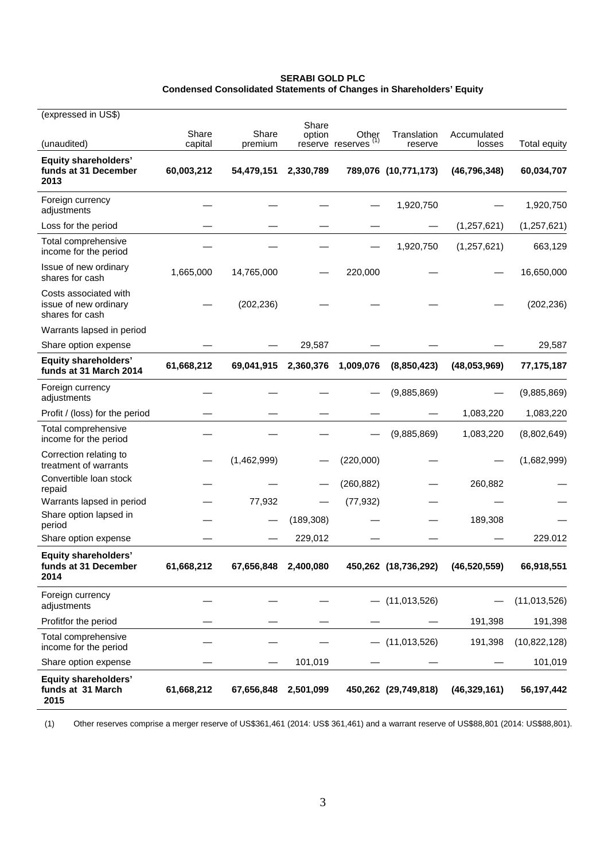| <b>SERABI GOLD PLC</b>                                               |  |
|----------------------------------------------------------------------|--|
| Condensed Consolidated Statements of Changes in Shareholders' Equity |  |

| (expressed in US\$)                                               |            |                      |                 |                                 |                      |                |                     |
|-------------------------------------------------------------------|------------|----------------------|-----------------|---------------------------------|----------------------|----------------|---------------------|
|                                                                   | Share      | Share                | Share<br>option | Other                           | Translation          | Accumulated    |                     |
| (unaudited)                                                       | capital    | premium              |                 | reserve reserves <sup>(1)</sup> | reserve              | losses         | <b>Total equity</b> |
| <b>Equity shareholders'</b><br>funds at 31 December<br>2013       | 60,003,212 | 54,479,151           | 2,330,789       |                                 | 789,076 (10,771,173) | (46, 796, 348) | 60,034,707          |
| Foreign currency<br>adjustments                                   |            |                      |                 |                                 | 1,920,750            |                | 1,920,750           |
| Loss for the period                                               |            |                      |                 |                                 |                      | (1, 257, 621)  | (1, 257, 621)       |
| Total comprehensive<br>income for the period                      |            |                      |                 |                                 | 1,920,750            | (1, 257, 621)  | 663,129             |
| Issue of new ordinary<br>shares for cash                          | 1,665,000  | 14,765,000           |                 | 220,000                         |                      |                | 16,650,000          |
| Costs associated with<br>issue of new ordinary<br>shares for cash |            | (202, 236)           |                 |                                 |                      |                | (202, 236)          |
| Warrants lapsed in period                                         |            |                      |                 |                                 |                      |                |                     |
| Share option expense                                              |            |                      | 29,587          |                                 |                      |                | 29,587              |
| <b>Equity shareholders'</b><br>funds at 31 March 2014             | 61,668,212 | 69,041,915           | 2,360,376       | 1,009,076                       | (8,850,423)          | (48,053,969)   | 77,175,187          |
| Foreign currency<br>adjustments                                   |            |                      |                 |                                 | (9,885,869)          |                | (9,885,869)         |
| Profit / (loss) for the period                                    |            |                      |                 |                                 |                      | 1,083,220      | 1,083,220           |
| Total comprehensive<br>income for the period                      |            |                      |                 |                                 | (9,885,869)          | 1,083,220      | (8,802,649)         |
| Correction relating to<br>treatment of warrants                   |            | (1,462,999)          |                 | (220,000)                       |                      |                | (1,682,999)         |
| Convertible loan stock<br>repaid                                  |            |                      |                 | (260, 882)                      |                      | 260,882        |                     |
| Warrants lapsed in period                                         |            | 77,932               |                 | (77, 932)                       |                      |                |                     |
| Share option lapsed in<br>period                                  |            |                      | (189, 308)      |                                 |                      | 189,308        |                     |
| Share option expense                                              |            |                      | 229,012         |                                 |                      |                | 229.012             |
| <b>Equity shareholders'</b><br>funds at 31 December<br>2014       | 61,668,212 | 67,656,848 2,400,080 |                 |                                 | 450,262 (18,736,292) | (46, 520, 559) | 66,918,551          |
| Foreign currency<br>adjustments                                   |            |                      |                 |                                 | (11, 013, 526)       |                | (11,013,526)        |
| Profitfor the period                                              |            |                      |                 |                                 |                      | 191,398        | 191,398             |
| Total comprehensive<br>income for the period                      |            |                      |                 |                                 | (11, 013, 526)       | 191,398        | (10,822,128)        |
| Share option expense                                              |            |                      | 101,019         |                                 |                      |                | 101,019             |
| <b>Equity shareholders'</b><br>funds at 31 March<br>2015          | 61,668,212 | 67,656,848           | 2,501,099       |                                 | 450,262 (29,749,818) | (46, 329, 161) | 56,197,442          |

(1) Other reserves comprise a merger reserve of US\$361,461 (2014: US\$ 361,461) and a warrant reserve of US\$88,801 (2014: US\$88,801).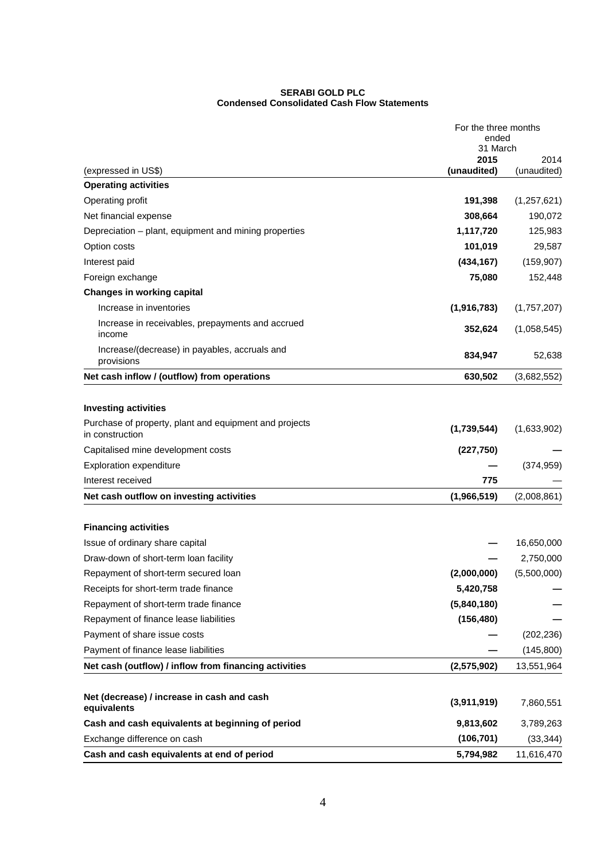#### **SERABI GOLD PLC Condensed Consolidated Cash Flow Statements**

|                                                                           | For the three months<br>ended |               |
|---------------------------------------------------------------------------|-------------------------------|---------------|
|                                                                           | 31 March                      |               |
|                                                                           | 2015                          | 2014          |
| (expressed in US\$)                                                       | (unaudited)                   | (unaudited)   |
| <b>Operating activities</b>                                               |                               |               |
| Operating profit                                                          | 191,398                       | (1, 257, 621) |
| Net financial expense                                                     | 308,664                       | 190,072       |
| Depreciation – plant, equipment and mining properties                     | 1,117,720                     | 125,983       |
| Option costs                                                              | 101,019                       | 29,587        |
| Interest paid                                                             | (434, 167)                    | (159, 907)    |
| Foreign exchange                                                          | 75,080                        | 152,448       |
| <b>Changes in working capital</b>                                         |                               |               |
| Increase in inventories                                                   | (1,916,783)                   | (1,757,207)   |
| Increase in receivables, prepayments and accrued<br>income                | 352,624                       | (1,058,545)   |
| Increase/(decrease) in payables, accruals and<br>provisions               | 834,947                       | 52,638        |
| Net cash inflow / (outflow) from operations                               | 630,502                       | (3,682,552)   |
|                                                                           |                               |               |
| <b>Investing activities</b>                                               |                               |               |
| Purchase of property, plant and equipment and projects<br>in construction | (1,739,544)                   | (1,633,902)   |
| Capitalised mine development costs                                        | (227, 750)                    |               |
| <b>Exploration expenditure</b>                                            |                               | (374, 959)    |
| Interest received                                                         | 775                           |               |
| Net cash outflow on investing activities                                  | (1,966,519)                   | (2,008,861)   |
|                                                                           |                               |               |
| <b>Financing activities</b>                                               |                               |               |
| Issue of ordinary share capital                                           |                               | 16,650,000    |
| Draw-down of short-term loan facility                                     |                               | 2,750,000     |
| Repayment of short-term secured loan                                      | (2,000,000)                   | (5,500,000)   |
| Receipts for short-term trade finance                                     | 5,420,758                     |               |
| Repayment of short-term trade finance                                     | (5,840,180)                   |               |
| Repayment of finance lease liabilities                                    | (156, 480)                    |               |
| Payment of share issue costs                                              |                               | (202, 236)    |
| Payment of finance lease liabilities                                      |                               | (145,800)     |
| Net cash (outflow) / inflow from financing activities                     | (2,575,902)                   | 13,551,964    |
|                                                                           |                               |               |
| Net (decrease) / increase in cash and cash<br>equivalents                 | (3,911,919)                   | 7,860,551     |
| Cash and cash equivalents at beginning of period                          | 9,813,602                     | 3,789,263     |
| Exchange difference on cash                                               | (106, 701)                    | (33, 344)     |
|                                                                           |                               |               |
| Cash and cash equivalents at end of period                                | 5,794,982                     | 11,616,470    |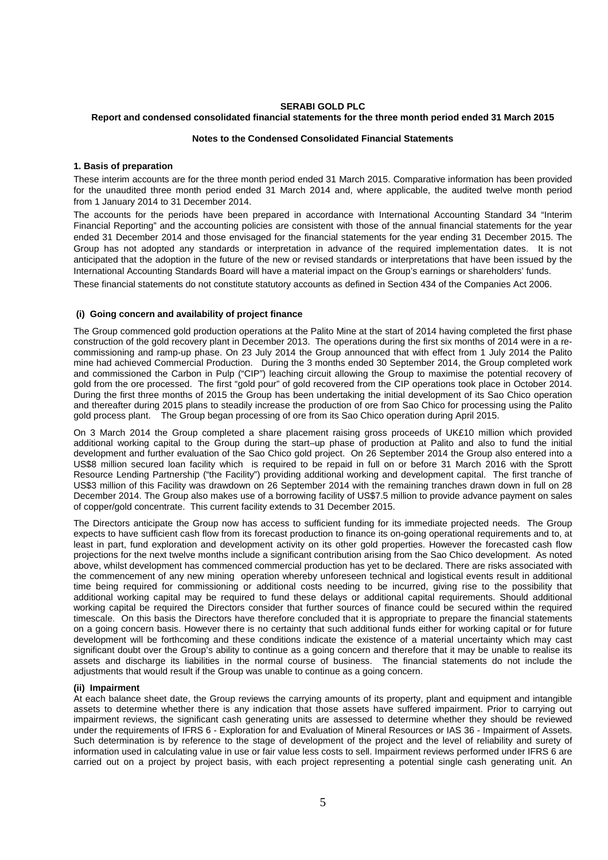#### **SERABI GOLD PLC Report and condensed consolidated financial statements for the three month period ended 31 March 2015**

### **Notes to the Condensed Consolidated Financial Statements**

### **1. Basis of preparation**

These interim accounts are for the three month period ended 31 March 2015. Comparative information has been provided for the unaudited three month period ended 31 March 2014 and, where applicable, the audited twelve month period from 1 January 2014 to 31 December 2014.

The accounts for the periods have been prepared in accordance with International Accounting Standard 34 "Interim Financial Reporting" and the accounting policies are consistent with those of the annual financial statements for the year ended 31 December 2014 and those envisaged for the financial statements for the year ending 31 December 2015. The Group has not adopted any standards or interpretation in advance of the required implementation dates. It is not anticipated that the adoption in the future of the new or revised standards or interpretations that have been issued by the International Accounting Standards Board will have a material impact on the Group's earnings or shareholders' funds.

These financial statements do not constitute statutory accounts as defined in Section 434 of the Companies Act 2006.

### **(i) Going concern and availability of project finance**

The Group commenced gold production operations at the Palito Mine at the start of 2014 having completed the first phase construction of the gold recovery plant in December 2013. The operations during the first six months of 2014 were in a recommissioning and ramp-up phase. On 23 July 2014 the Group announced that with effect from 1 July 2014 the Palito mine had achieved Commercial Production. During the 3 months ended 30 September 2014, the Group completed work and commissioned the Carbon in Pulp ("CIP") leaching circuit allowing the Group to maximise the potential recovery of gold from the ore processed. The first "gold pour" of gold recovered from the CIP operations took place in October 2014. During the first three months of 2015 the Group has been undertaking the initial development of its Sao Chico operation and thereafter during 2015 plans to steadily increase the production of ore from Sao Chico for processing using the Palito gold process plant. The Group began processing of ore from its Sao Chico operation during April 2015.

On 3 March 2014 the Group completed a share placement raising gross proceeds of UK£10 million which provided additional working capital to the Group during the start–up phase of production at Palito and also to fund the initial development and further evaluation of the Sao Chico gold project. On 26 September 2014 the Group also entered into a US\$8 million secured loan facility which is required to be repaid in full on or before 31 March 2016 with the Sprott Resource Lending Partnership ("the Facility") providing additional working and development capital. The first tranche of US\$3 million of this Facility was drawdown on 26 September 2014 with the remaining tranches drawn down in full on 28 December 2014. The Group also makes use of a borrowing facility of US\$7.5 million to provide advance payment on sales of copper/gold concentrate. This current facility extends to 31 December 2015.

The Directors anticipate the Group now has access to sufficient funding for its immediate projected needs. The Group expects to have sufficient cash flow from its forecast production to finance its on-going operational requirements and to, at least in part, fund exploration and development activity on its other gold properties. However the forecasted cash flow projections for the next twelve months include a significant contribution arising from the Sao Chico development. As noted above, whilst development has commenced commercial production has yet to be declared. There are risks associated with the commencement of any new mining operation whereby unforeseen technical and logistical events result in additional time being required for commissioning or additional costs needing to be incurred, giving rise to the possibility that additional working capital may be required to fund these delays or additional capital requirements. Should additional working capital be required the Directors consider that further sources of finance could be secured within the required timescale. On this basis the Directors have therefore concluded that it is appropriate to prepare the financial statements on a going concern basis. However there is no certainty that such additional funds either for working capital or for future development will be forthcoming and these conditions indicate the existence of a material uncertainty which may cast significant doubt over the Group's ability to continue as a going concern and therefore that it may be unable to realise its assets and discharge its liabilities in the normal course of business. The financial statements do not include the adjustments that would result if the Group was unable to continue as a going concern.

#### **(ii) Impairment**

At each balance sheet date, the Group reviews the carrying amounts of its property, plant and equipment and intangible assets to determine whether there is any indication that those assets have suffered impairment. Prior to carrying out impairment reviews, the significant cash generating units are assessed to determine whether they should be reviewed under the requirements of IFRS 6 - Exploration for and Evaluation of Mineral Resources or IAS 36 - Impairment of Assets. Such determination is by reference to the stage of development of the project and the level of reliability and surety of information used in calculating value in use or fair value less costs to sell. Impairment reviews performed under IFRS 6 are carried out on a project by project basis, with each project representing a potential single cash generating unit. An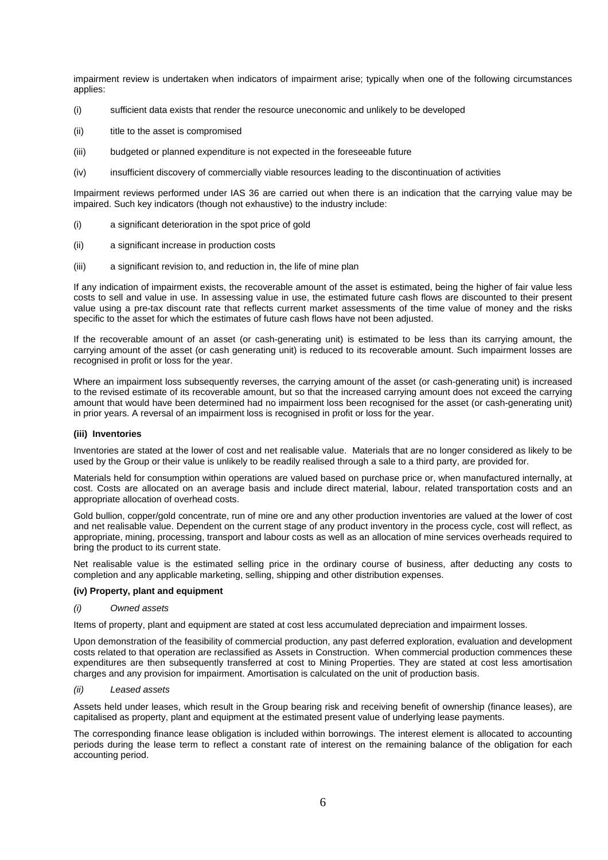impairment review is undertaken when indicators of impairment arise; typically when one of the following circumstances applies:

- (i) sufficient data exists that render the resource uneconomic and unlikely to be developed
- (ii) title to the asset is compromised
- (iii) budgeted or planned expenditure is not expected in the foreseeable future
- (iv) insufficient discovery of commercially viable resources leading to the discontinuation of activities

Impairment reviews performed under IAS 36 are carried out when there is an indication that the carrying value may be impaired. Such key indicators (though not exhaustive) to the industry include:

- (i) a significant deterioration in the spot price of gold
- (ii) a significant increase in production costs
- (iii) a significant revision to, and reduction in, the life of mine plan

If any indication of impairment exists, the recoverable amount of the asset is estimated, being the higher of fair value less costs to sell and value in use. In assessing value in use, the estimated future cash flows are discounted to their present value using a pre-tax discount rate that reflects current market assessments of the time value of money and the risks specific to the asset for which the estimates of future cash flows have not been adjusted.

If the recoverable amount of an asset (or cash-generating unit) is estimated to be less than its carrying amount, the carrying amount of the asset (or cash generating unit) is reduced to its recoverable amount. Such impairment losses are recognised in profit or loss for the year.

Where an impairment loss subsequently reverses, the carrying amount of the asset (or cash-generating unit) is increased to the revised estimate of its recoverable amount, but so that the increased carrying amount does not exceed the carrying amount that would have been determined had no impairment loss been recognised for the asset (or cash-generating unit) in prior years. A reversal of an impairment loss is recognised in profit or loss for the year.

#### **(iii) Inventories**

Inventories are stated at the lower of cost and net realisable value. Materials that are no longer considered as likely to be used by the Group or their value is unlikely to be readily realised through a sale to a third party, are provided for.

Materials held for consumption within operations are valued based on purchase price or, when manufactured internally, at cost. Costs are allocated on an average basis and include direct material, labour, related transportation costs and an appropriate allocation of overhead costs.

Gold bullion, copper/gold concentrate, run of mine ore and any other production inventories are valued at the lower of cost and net realisable value. Dependent on the current stage of any product inventory in the process cycle, cost will reflect, as appropriate, mining, processing, transport and labour costs as well as an allocation of mine services overheads required to bring the product to its current state.

Net realisable value is the estimated selling price in the ordinary course of business, after deducting any costs to completion and any applicable marketing, selling, shipping and other distribution expenses.

#### **(iv) Property, plant and equipment**

### (i) Owned assets

Items of property, plant and equipment are stated at cost less accumulated depreciation and impairment losses.

Upon demonstration of the feasibility of commercial production, any past deferred exploration, evaluation and development costs related to that operation are reclassified as Assets in Construction. When commercial production commences these expenditures are then subsequently transferred at cost to Mining Properties. They are stated at cost less amortisation charges and any provision for impairment. Amortisation is calculated on the unit of production basis.

#### (ii) Leased assets

Assets held under leases, which result in the Group bearing risk and receiving benefit of ownership (finance leases), are capitalised as property, plant and equipment at the estimated present value of underlying lease payments.

The corresponding finance lease obligation is included within borrowings. The interest element is allocated to accounting periods during the lease term to reflect a constant rate of interest on the remaining balance of the obligation for each accounting period.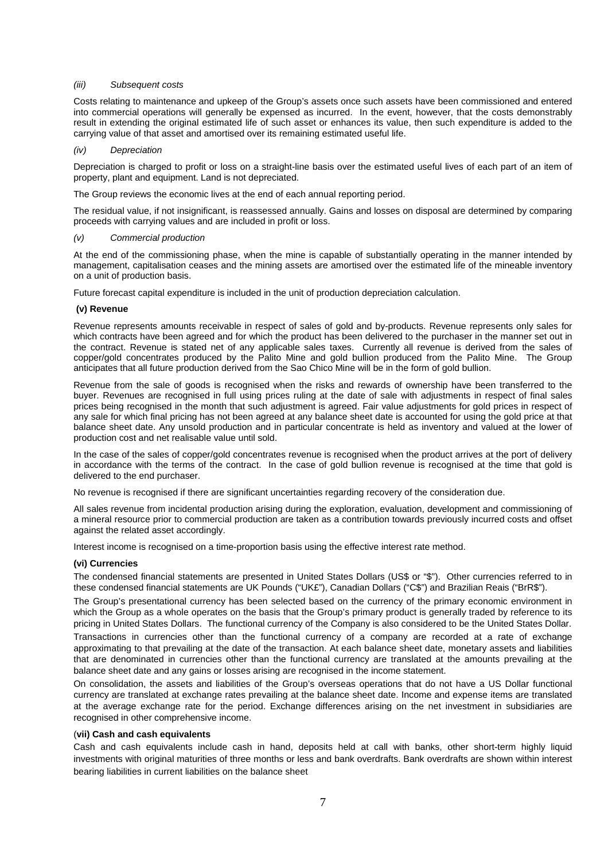#### (iii) Subsequent costs

Costs relating to maintenance and upkeep of the Group's assets once such assets have been commissioned and entered into commercial operations will generally be expensed as incurred. In the event, however, that the costs demonstrably result in extending the original estimated life of such asset or enhances its value, then such expenditure is added to the carrying value of that asset and amortised over its remaining estimated useful life.

#### (iv) Depreciation

Depreciation is charged to profit or loss on a straight-line basis over the estimated useful lives of each part of an item of property, plant and equipment. Land is not depreciated.

The Group reviews the economic lives at the end of each annual reporting period.

The residual value, if not insignificant, is reassessed annually. Gains and losses on disposal are determined by comparing proceeds with carrying values and are included in profit or loss.

#### (v) Commercial production

At the end of the commissioning phase, when the mine is capable of substantially operating in the manner intended by management, capitalisation ceases and the mining assets are amortised over the estimated life of the mineable inventory on a unit of production basis.

Future forecast capital expenditure is included in the unit of production depreciation calculation.

#### **(v) Revenue**

Revenue represents amounts receivable in respect of sales of gold and by-products. Revenue represents only sales for which contracts have been agreed and for which the product has been delivered to the purchaser in the manner set out in the contract. Revenue is stated net of any applicable sales taxes. Currently all revenue is derived from the sales of copper/gold concentrates produced by the Palito Mine and gold bullion produced from the Palito Mine. The Group anticipates that all future production derived from the Sao Chico Mine will be in the form of gold bullion.

Revenue from the sale of goods is recognised when the risks and rewards of ownership have been transferred to the buyer. Revenues are recognised in full using prices ruling at the date of sale with adjustments in respect of final sales prices being recognised in the month that such adjustment is agreed. Fair value adjustments for gold prices in respect of any sale for which final pricing has not been agreed at any balance sheet date is accounted for using the gold price at that balance sheet date. Any unsold production and in particular concentrate is held as inventory and valued at the lower of production cost and net realisable value until sold.

In the case of the sales of copper/gold concentrates revenue is recognised when the product arrives at the port of delivery in accordance with the terms of the contract. In the case of gold bullion revenue is recognised at the time that gold is delivered to the end purchaser.

No revenue is recognised if there are significant uncertainties regarding recovery of the consideration due.

All sales revenue from incidental production arising during the exploration, evaluation, development and commissioning of a mineral resource prior to commercial production are taken as a contribution towards previously incurred costs and offset against the related asset accordingly.

Interest income is recognised on a time-proportion basis using the effective interest rate method.

#### **(vi) Currencies**

The condensed financial statements are presented in United States Dollars (US\$ or "\$"). Other currencies referred to in these condensed financial statements are UK Pounds ("UK£"), Canadian Dollars ("C\$") and Brazilian Reais ("BrR\$").

The Group's presentational currency has been selected based on the currency of the primary economic environment in which the Group as a whole operates on the basis that the Group's primary product is generally traded by reference to its pricing in United States Dollars. The functional currency of the Company is also considered to be the United States Dollar.

Transactions in currencies other than the functional currency of a company are recorded at a rate of exchange approximating to that prevailing at the date of the transaction. At each balance sheet date, monetary assets and liabilities that are denominated in currencies other than the functional currency are translated at the amounts prevailing at the balance sheet date and any gains or losses arising are recognised in the income statement.

On consolidation, the assets and liabilities of the Group's overseas operations that do not have a US Dollar functional currency are translated at exchange rates prevailing at the balance sheet date. Income and expense items are translated at the average exchange rate for the period. Exchange differences arising on the net investment in subsidiaries are recognised in other comprehensive income.

#### (**vii) Cash and cash equivalents**

Cash and cash equivalents include cash in hand, deposits held at call with banks, other short-term highly liquid investments with original maturities of three months or less and bank overdrafts. Bank overdrafts are shown within interest bearing liabilities in current liabilities on the balance sheet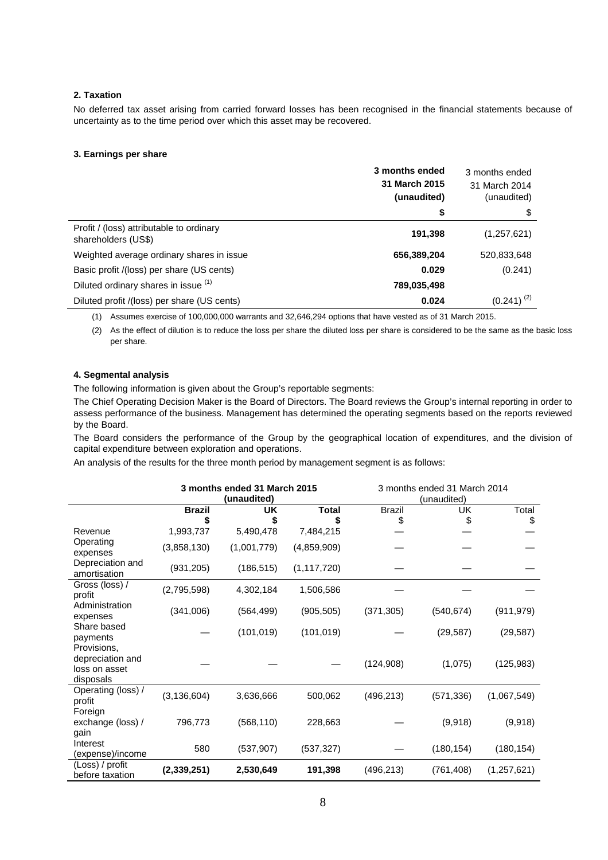### **2. Taxation**

No deferred tax asset arising from carried forward losses has been recognised in the financial statements because of uncertainty as to the time period over which this asset may be recovered.

### **3. Earnings per share**

|                                                                 | 3 months ended<br>31 March 2015<br>(unaudited) | 3 months ended<br>31 March 2014<br>(unaudited) |
|-----------------------------------------------------------------|------------------------------------------------|------------------------------------------------|
|                                                                 | \$                                             | \$                                             |
| Profit / (loss) attributable to ordinary<br>shareholders (US\$) | 191,398                                        | (1,257,621)                                    |
| Weighted average ordinary shares in issue                       | 656,389,204                                    | 520,833,648                                    |
| Basic profit /(loss) per share (US cents)                       | 0.029                                          | (0.241)                                        |
| Diluted ordinary shares in issue (1)                            | 789,035,498                                    |                                                |
| Diluted profit /(loss) per share (US cents)                     | 0.024                                          | $(0.241)^{(2)}$                                |
|                                                                 |                                                |                                                |

(1) Assumes exercise of 100,000,000 warrants and 32,646,294 options that have vested as of 31 March 2015.

(2) As the effect of dilution is to reduce the loss per share the diluted loss per share is considered to be the same as the basic loss per share.

# **4. Segmental analysis**

The following information is given about the Group's reportable segments:

The Chief Operating Decision Maker is the Board of Directors. The Board reviews the Group's internal reporting in order to assess performance of the business. Management has determined the operating segments based on the reports reviewed by the Board.

The Board considers the performance of the Group by the geographical location of expenditures, and the division of capital expenditure between exploration and operations.

An analysis of the results for the three month period by management segment is as follows:

|                                                               | 3 months ended 31 March 2015<br>(unaudited) |             | 3 months ended 31 March 2014<br>(unaudited) |                     |            |               |
|---------------------------------------------------------------|---------------------------------------------|-------------|---------------------------------------------|---------------------|------------|---------------|
|                                                               | <b>Brazil</b>                               | UK<br>\$    | Total                                       | <b>Brazil</b><br>\$ | UK<br>\$   | Total<br>\$   |
| Revenue                                                       | 1,993,737                                   | 5,490,478   | 7,484,215                                   |                     |            |               |
| Operating<br>expenses                                         | (3,858,130)                                 | (1,001,779) | (4,859,909)                                 |                     |            |               |
| Depreciation and<br>amortisation                              | (931, 205)                                  | (186, 515)  | (1, 117, 720)                               |                     |            |               |
| Gross (loss) /<br>profit                                      | (2,795,598)                                 | 4,302,184   | 1,506,586                                   |                     |            |               |
| Administration<br>expenses                                    | (341,006)                                   | (564, 499)  | (905, 505)                                  | (371, 305)          | (540, 674) | (911, 979)    |
| Share based<br>payments                                       |                                             | (101, 019)  | (101, 019)                                  |                     | (29, 587)  | (29, 587)     |
| Provisions,<br>depreciation and<br>loss on asset<br>disposals |                                             |             |                                             | (124,908)           | (1,075)    | (125, 983)    |
| Operating (loss) /<br>profit                                  | (3, 136, 604)                               | 3,636,666   | 500,062                                     | (496, 213)          | (571, 336) | (1,067,549)   |
| Foreign<br>exchange (loss) /<br>gain                          | 796,773                                     | (568, 110)  | 228,663                                     |                     | (9,918)    | (9,918)       |
| Interest<br>(expense)/income                                  | 580                                         | (537, 907)  | (537, 327)                                  |                     | (180, 154) | (180, 154)    |
| (Loss) / profit<br>before taxation                            | (2, 339, 251)                               | 2,530,649   | 191,398                                     | (496, 213)          | (761, 408) | (1, 257, 621) |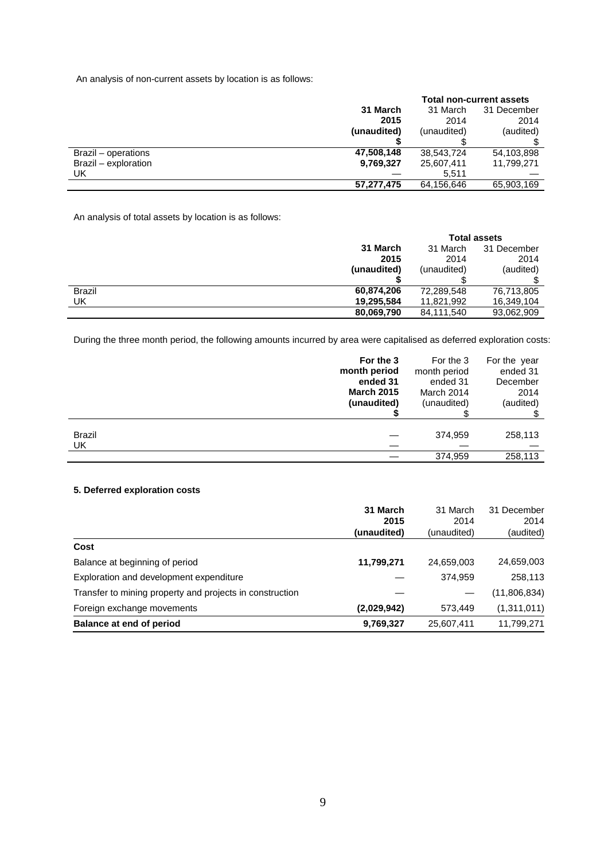An analysis of non-current assets by location is as follows:

|                      |             | <b>Total non-current assets</b> |             |
|----------------------|-------------|---------------------------------|-------------|
|                      | 31 March    | 31 March                        | 31 December |
|                      | 2015        | 2014                            | 2014        |
|                      | (unaudited) | (unaudited)                     | (audited)   |
|                      |             |                                 |             |
| Brazil – operations  | 47,508,148  | 38,543,724                      | 54,103,898  |
| Brazil - exploration | 9,769,327   | 25,607,411                      | 11,799,271  |
| UK                   |             | 5.511                           |             |
|                      | 57,277,475  | 64,156,646                      | 65,903,169  |

An analysis of total assets by location is as follows:

|               |             | <b>Total assets</b> |             |
|---------------|-------------|---------------------|-------------|
|               | 31 March    | 31 March            | 31 December |
|               | 2015        | 2014                | 2014        |
|               | (unaudited) | (unaudited)         | (audited)   |
|               |             |                     |             |
| <b>Brazil</b> | 60,874,206  | 72,289,548          | 76,713,805  |
| UK            | 19,295,584  | 11,821,992          | 16,349,104  |
|               | 80,069,790  | 84,111,540          | 93,062,909  |
|               |             |                     |             |

During the three month period, the following amounts incurred by area were capitalised as deferred exploration costs:

|               | For the 3         | For the 3    | For the year |
|---------------|-------------------|--------------|--------------|
|               | month period      | month period | ended 31     |
|               | ended 31          | ended 31     | December     |
|               | <b>March 2015</b> | March 2014   | 2014         |
|               | (unaudited)       | (unaudited)  | (audited)    |
| <b>Brazil</b> |                   | 374,959      | 258,113      |
| UK            |                   | 374,959      | 258,113      |

# **5. Deferred exploration costs**

|                                                          | 31 March    | 31 March    | 31 December  |
|----------------------------------------------------------|-------------|-------------|--------------|
|                                                          | 2015        | 2014        | 2014         |
|                                                          | (unaudited) | (unaudited) | (audited)    |
| Cost                                                     |             |             |              |
| Balance at beginning of period                           | 11,799,271  | 24,659,003  | 24,659,003   |
| Exploration and development expenditure                  |             | 374.959     | 258,113      |
| Transfer to mining property and projects in construction |             |             | (11,806,834) |
| Foreign exchange movements                               | (2,029,942) | 573.449     | (1,311,011)  |
| Balance at end of period                                 | 9,769,327   | 25,607,411  | 11,799,271   |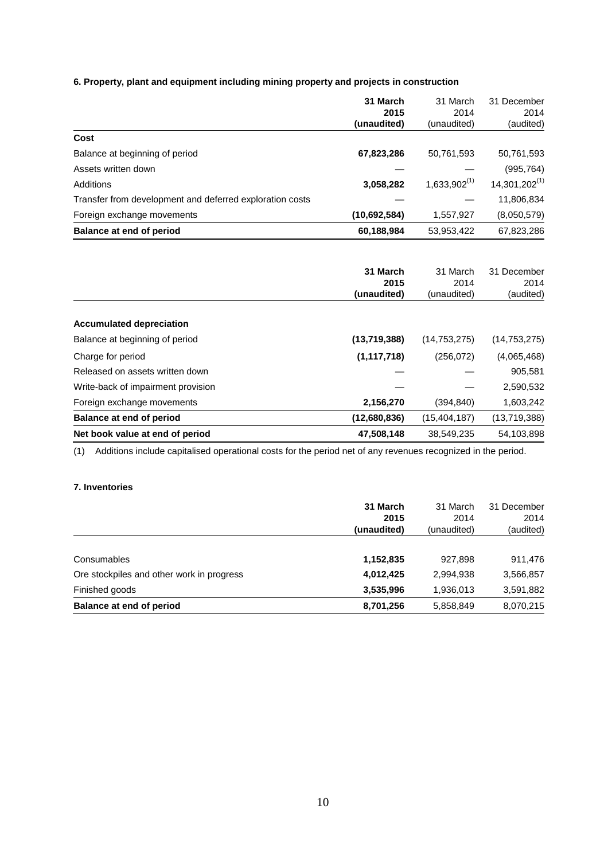**6. Property, plant and equipment including mining property and projects in construction** 

|                                                          | 31 March      | 31 March          | 31 December               |
|----------------------------------------------------------|---------------|-------------------|---------------------------|
|                                                          | 2015          | 2014              | 2014                      |
|                                                          | (unaudited)   | (unaudited)       | (audited)                 |
| Cost                                                     |               |                   |                           |
| Balance at beginning of period                           | 67,823,286    | 50,761,593        | 50,761,593                |
| Assets written down                                      |               |                   | (995, 764)                |
| Additions                                                | 3,058,282     | $1,633,902^{(1)}$ | 14,301,202 <sup>(1)</sup> |
| Transfer from development and deferred exploration costs |               |                   | 11,806,834                |
| Foreign exchange movements                               | (10,692,584)  | 1,557,927         | (8,050,579)               |
| <b>Balance at end of period</b>                          | 60,188,984    | 53,953,422        | 67,823,286                |
|                                                          |               |                   |                           |
|                                                          | 31 March      | 31 March          | 31 December               |
|                                                          | 2015          | 2014              | 2014                      |
|                                                          | (unaudited)   | (unaudited)       | (audited)                 |
| <b>Accumulated depreciation</b>                          |               |                   |                           |
| Balance at beginning of period                           | (13,719,388)  | (14, 753, 275)    | (14, 753, 275)            |
| Charge for period                                        | (1, 117, 718) | (256, 072)        | (4,065,468)               |
| Released on assets written down                          |               |                   | 905,581                   |
| Write-back of impairment provision                       |               |                   | 2,590,532                 |

**Net book value at end of period 120 a. 38,549,235 47,508,148** 38,549,235 54,103,898

(1) Additions include capitalised operational costs for the period net of any revenues recognized in the period.

Foreign exchange movements **2,156,270** (394,840) 1,603,242 **Balance at end of period (12,680,836)** (15,404,187) (13,719,388)

# **7. Inventories**

|                                           | 31 March<br>2015 | 31 March<br>2014 | 31 December<br>2014 |
|-------------------------------------------|------------------|------------------|---------------------|
|                                           | (unaudited)      | (unaudited)      | (audited)           |
| Consumables                               | 1,152,835        | 927.898          | 911,476             |
| Ore stockpiles and other work in progress | 4,012,425        | 2,994,938        | 3,566,857           |
| Finished goods                            | 3,535,996        | 1,936,013        | 3,591,882           |
| Balance at end of period                  | 8,701,256        | 5,858,849        | 8,070,215           |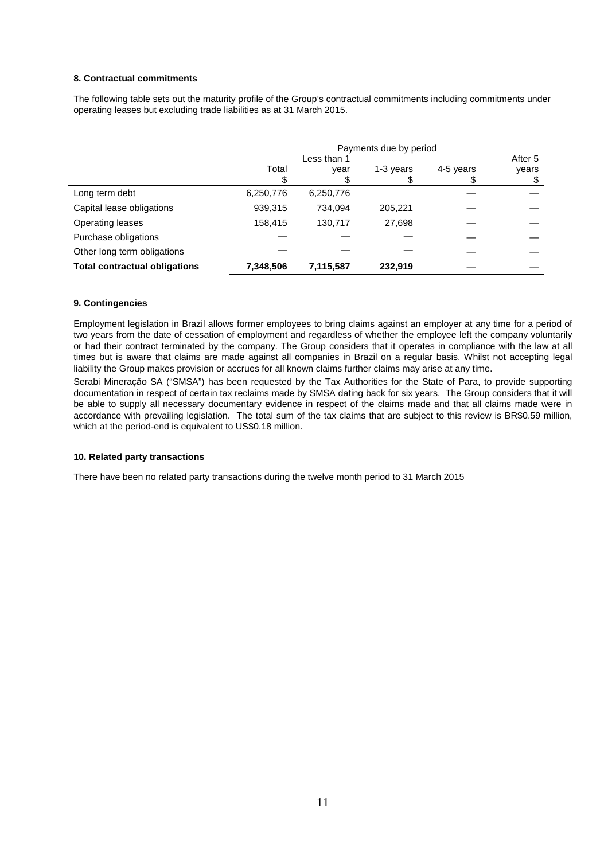### **8. Contractual commitments**

The following table sets out the maturity profile of the Group's contractual commitments including commitments under operating leases but excluding trade liabilities as at 31 March 2015.

|                                      | Payments due by period |           |           |           |         |
|--------------------------------------|------------------------|-----------|-----------|-----------|---------|
|                                      | Less than 1            |           |           |           | After 5 |
|                                      | Total                  | year      | 1-3 years | 4-5 years | years   |
|                                      |                        |           |           |           | \$      |
| Long term debt                       | 6,250,776              | 6,250,776 |           |           |         |
| Capital lease obligations            | 939,315                | 734.094   | 205,221   |           |         |
| Operating leases                     | 158.415                | 130.717   | 27.698    |           |         |
| Purchase obligations                 |                        |           |           |           |         |
| Other long term obligations          |                        |           |           |           |         |
| <b>Total contractual obligations</b> | 7,348,506              | 7,115,587 | 232,919   |           |         |

### **9. Contingencies**

Employment legislation in Brazil allows former employees to bring claims against an employer at any time for a period of two years from the date of cessation of employment and regardless of whether the employee left the company voluntarily or had their contract terminated by the company. The Group considers that it operates in compliance with the law at all times but is aware that claims are made against all companies in Brazil on a regular basis. Whilst not accepting legal liability the Group makes provision or accrues for all known claims further claims may arise at any time.

Serabi Mineraçăo SA ("SMSA") has been requested by the Tax Authorities for the State of Para, to provide supporting documentation in respect of certain tax reclaims made by SMSA dating back for six years. The Group considers that it will be able to supply all necessary documentary evidence in respect of the claims made and that all claims made were in accordance with prevailing legislation. The total sum of the tax claims that are subject to this review is BR\$0.59 million, which at the period-end is equivalent to US\$0.18 million.

#### **10. Related party transactions**

There have been no related party transactions during the twelve month period to 31 March 2015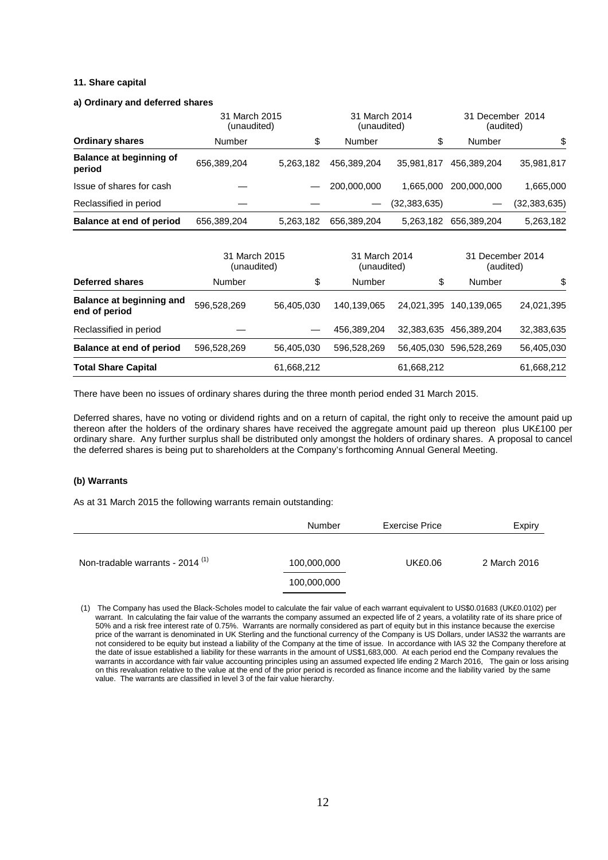### **11. Share capital**

#### **a) Ordinary and deferred shares**

|                                          |             | 31 March 2015<br>(unaudited) |             | 31 March 2014<br>(unaudited) | 31 December 2014<br>(audited) |                |
|------------------------------------------|-------------|------------------------------|-------------|------------------------------|-------------------------------|----------------|
| <b>Ordinary shares</b>                   | Number      | \$                           | Number      | \$                           | Number                        | \$             |
| <b>Balance at beginning of</b><br>period | 656,389,204 | 5,263,182                    | 456,389,204 | 35.981.817                   | 456.389.204                   | 35,981,817     |
| Issue of shares for cash                 |             |                              | 200,000,000 | 1,665,000                    | 200.000.000                   | 1,665,000      |
| Reclassified in period                   |             |                              |             | (32,383,635)                 |                               | (32, 383, 635) |
| Balance at end of period                 | 656,389,204 | 5,263,182                    | 656,389,204 | 5.263.182                    | 656,389,204                   | 5,263,182      |

|                                                  | 31 March 2015<br>(unaudited) |            | 31 March 2014<br>(unaudited) |            | 31 December 2014<br>(audited) |            |
|--------------------------------------------------|------------------------------|------------|------------------------------|------------|-------------------------------|------------|
| Deferred shares                                  | Number                       | \$         | Number                       | \$         | Number                        | \$         |
| <b>Balance at beginning and</b><br>end of period | 596,528,269                  | 56,405,030 | 140.139.065                  | 24.021.395 | 140.139.065                   | 24,021,395 |
| Reclassified in period                           |                              |            | 456,389,204                  |            | 32,383,635 456,389,204        | 32,383,635 |
| Balance at end of period                         | 596,528,269                  | 56,405,030 | 596,528,269                  |            | 56,405,030 596,528,269        | 56,405,030 |
| <b>Total Share Capital</b>                       |                              | 61,668,212 |                              | 61,668,212 |                               | 61,668,212 |

There have been no issues of ordinary shares during the three month period ended 31 March 2015.

Deferred shares, have no voting or dividend rights and on a return of capital, the right only to receive the amount paid up thereon after the holders of the ordinary shares have received the aggregate amount paid up thereon plus UK£100 per ordinary share. Any further surplus shall be distributed only amongst the holders of ordinary shares. A proposal to cancel the deferred shares is being put to shareholders at the Company's forthcoming Annual General Meeting.

#### **(b) Warrants**

As at 31 March 2015 the following warrants remain outstanding:

|                                             | <b>Number</b> | Exercise Price | Expiry       |
|---------------------------------------------|---------------|----------------|--------------|
| Non-tradable warrants - 2014 <sup>(1)</sup> | 100,000,000   | UK£0.06        | 2 March 2016 |
|                                             | 100,000,000   |                |              |

<sup>(1)</sup> The Company has used the Black-Scholes model to calculate the fair value of each warrant equivalent to US\$0.01683 (UK£0.0102) per warrant. In calculating the fair value of the warrants the company assumed an expected life of 2 years, a volatility rate of its share price of 50% and a risk free interest rate of 0.75%. Warrants are normally considered as part of equity but in this instance because the exercise price of the warrant is denominated in UK Sterling and the functional currency of the Company is US Dollars, under IAS32 the warrants are not considered to be equity but instead a liability of the Company at the time of issue. In accordance with IAS 32 the Company therefore at the date of issue established a liability for these warrants in the amount of US\$1,683,000. At each period end the Company revalues the warrants in accordance with fair value accounting principles using an assumed expected life ending 2 March 2016, The gain or loss arising on this revaluation relative to the value at the end of the prior period is recorded as finance income and the liability varied by the same value. The warrants are classified in level 3 of the fair value hierarchy.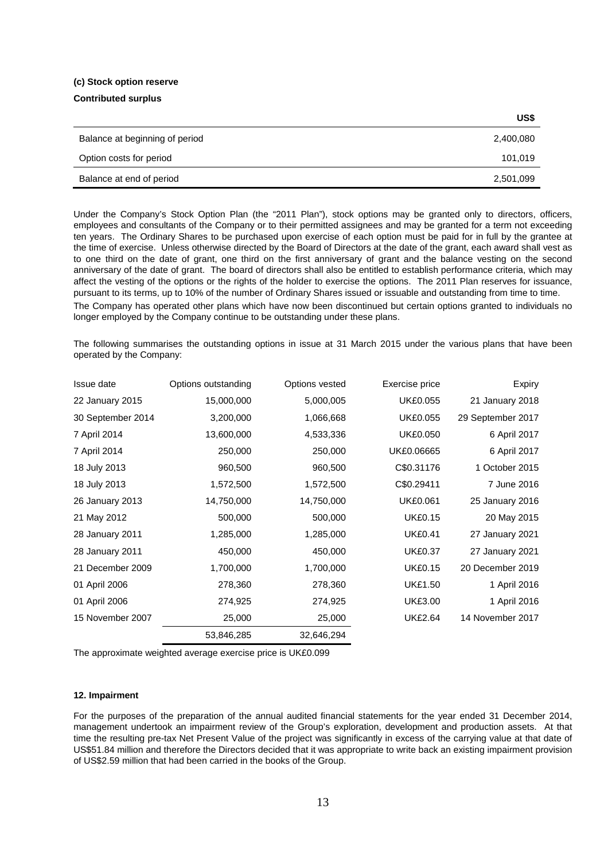#### **(c) Stock option reserve**

### **Contributed surplus**

| US\$      |
|-----------|
| 2,400,080 |
| 101,019   |
| 2,501,099 |
|           |

Under the Company's Stock Option Plan (the "2011 Plan"), stock options may be granted only to directors, officers, employees and consultants of the Company or to their permitted assignees and may be granted for a term not exceeding ten years. The Ordinary Shares to be purchased upon exercise of each option must be paid for in full by the grantee at the time of exercise. Unless otherwise directed by the Board of Directors at the date of the grant, each award shall vest as to one third on the date of grant, one third on the first anniversary of grant and the balance vesting on the second anniversary of the date of grant. The board of directors shall also be entitled to establish performance criteria, which may affect the vesting of the options or the rights of the holder to exercise the options. The 2011 Plan reserves for issuance, pursuant to its terms, up to 10% of the number of Ordinary Shares issued or issuable and outstanding from time to time.

The Company has operated other plans which have now been discontinued but certain options granted to individuals no longer employed by the Company continue to be outstanding under these plans.

The following summarises the outstanding options in issue at 31 March 2015 under the various plans that have been operated by the Company:

| Issue date        | Options outstanding | Options vested | Exercise price  | Expiry            |
|-------------------|---------------------|----------------|-----------------|-------------------|
| 22 January 2015   | 15,000,000          | 5,000,005      | <b>UK£0.055</b> | 21 January 2018   |
| 30 September 2014 | 3,200,000           | 1,066,668      | <b>UK£0.055</b> | 29 September 2017 |
| 7 April 2014      | 13,600,000          | 4,533,336      | <b>UK£0.050</b> | 6 April 2017      |
| 7 April 2014      | 250,000             | 250,000        | UK£0.06665      | 6 April 2017      |
| 18 July 2013      | 960,500             | 960,500        | C\$0.31176      | 1 October 2015    |
| 18 July 2013      | 1,572,500           | 1,572,500      | C\$0.29411      | 7 June 2016       |
| 26 January 2013   | 14,750,000          | 14,750,000     | <b>UK£0.061</b> | 25 January 2016   |
| 21 May 2012       | 500,000             | 500,000        | <b>UK£0.15</b>  | 20 May 2015       |
| 28 January 2011   | 1,285,000           | 1,285,000      | <b>UK£0.41</b>  | 27 January 2021   |
| 28 January 2011   | 450,000             | 450,000        | <b>UK£0.37</b>  | 27 January 2021   |
| 21 December 2009  | 1,700,000           | 1,700,000      | <b>UK£0.15</b>  | 20 December 2019  |
| 01 April 2006     | 278,360             | 278,360        | <b>UK£1.50</b>  | 1 April 2016      |
| 01 April 2006     | 274,925             | 274,925        | <b>UK£3.00</b>  | 1 April 2016      |
| 15 November 2007  | 25,000              | 25,000         | <b>UK£2.64</b>  | 14 November 2017  |
|                   | 53,846,285          | 32,646,294     |                 |                   |

The approximate weighted average exercise price is UK£0.099

# **12. Impairment**

For the purposes of the preparation of the annual audited financial statements for the year ended 31 December 2014, management undertook an impairment review of the Group's exploration, development and production assets. At that time the resulting pre-tax Net Present Value of the project was significantly in excess of the carrying value at that date of US\$51.84 million and therefore the Directors decided that it was appropriate to write back an existing impairment provision of US\$2.59 million that had been carried in the books of the Group.